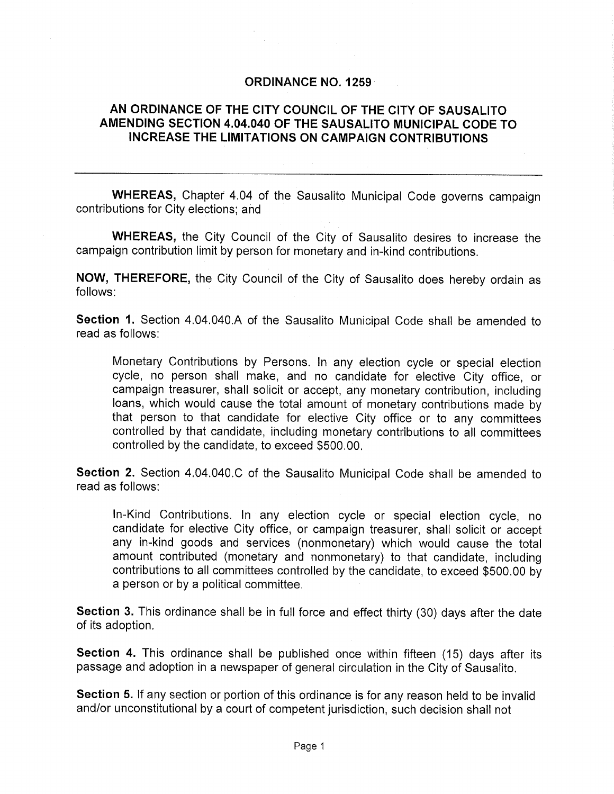## ORDINANCE NO. 1259

## AN ORDINANCE OF THE CITY COUNCIL OF THE CITY OF SAUSALITO AMENDING SECTION 4.04.040 OF THE SAUSALITO MUNICIPAL CODE TO INCREASE THE LIMITATIONS ON CAMPAIGN CONTRIBUTIONS

WHEREAS, Chapter 4.04 of the Sausalito Municipal Code governs campaign contributions for City elections; and

WHEREAS, the City Council of the City of Sausalito desires to increase the campaign contribution limit by person for monetary and in-kind contributions.

NOW, THEREFORE, the City Council of the City of Sausalito does hereby ordain as follows:

Section 1. Section 4.04.040.A of the Sausalito Municipal Code shall be amended to read as follows:

Monetary Contributions by Persons. In any election cycle or special election cycle, no person shall make, and no candidate for elective City office, or campaign treasurer, shall solicit or accept, any monetary contribution, including loans, which would cause the total amount of monetary contributions made by that person to that candidate for elective City office or to any committees controlled by that candidate, including monetary contributions to all committees controlled by the candidate, to exceed \$500.00.

Section 2. Section 4,04.040.C of the Sausalito Municipal Code shall be amended to read as follows:

In-Kind Contributions. In any election cycle or special election cycle, no candidate for elective City office, or campaign treasurer, shall solicit or accept any in-kind goods and services (nonmonetary) which would cause the total amount contributed (monetary and nonmonetary) to that candidate, including contributions to all committees controlled by the candidate, to exceed \$500.00 by a person or by a political committee.

Section 3. This ordinance shall be in full force and effect thirty (30) days after the date of its adoption,

Section 4. This ordinance shall be published once within fifteen (15) days after its passage and adoption in a newspaper of general circulation in the City of Sausalito,

Section 5. If any section or portion of this ordinance is for any reason held to be invalid and/or unconstitutional by a court of competent jurisdiction, such decision shall not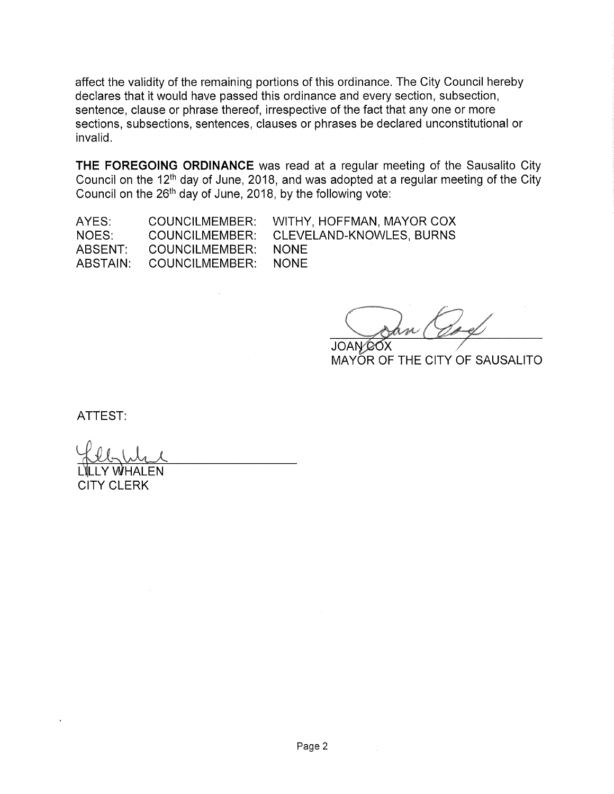affect the validity of the remaining portions of this ordinance. The City Council hereby declares that it would have passed this ordinance and every section, subsection, sentence, clause or phrase thereof, irrespective of the fact that any one or more sections, subsections, sentences, clauses or phrases be declared unconstitutional or invalid.

THE FOREGOING ORDINANCE was read at a regular meeting of the Sausalito City Council on the 12<sup>th</sup> day of June, 2018, and was adopted at a regular meeting of the City Council on the  $26<sup>th</sup>$  day of June, 2018, by the following vote:

AYES: NOES: ABSENT: ABSTAIN: COUNCILMEMBER: COUNCILMEMBER: COUNCILMEMBER: COUNCILMEMBER:

WITHY, HOFFMAN, MAYOR COX CLEVELAND-KNOWLES, BURNS NONE NONE

JOAN COX

MAYOR OF THE CITY OF SAUSALITO

ATTEST:

Y WHALEN CITY CLERK